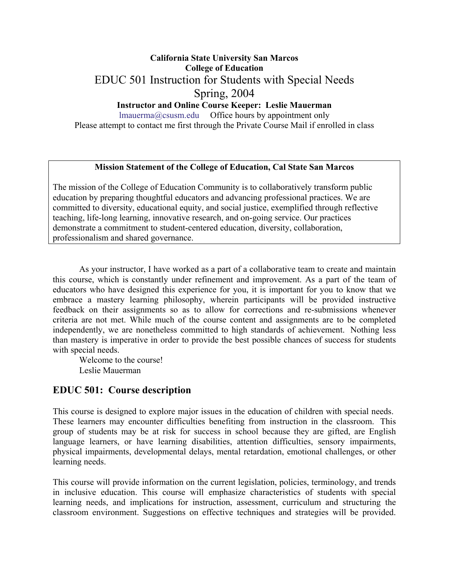# **California State University San Marcos College of Education**  EDUC 501 Instruction for Students with Special Needs Spring, 2004 **Instructor and Online Course Keeper: Leslie Mauerman**

lmauerma@csusm.edu Office hours by appointment only Please attempt to contact me first through the Private Course Mail if enrolled in class

#### **Mission Statement of the College of Education, Cal State San Marcos**

The mission of the College of Education Community is to collaboratively transform public education by preparing thoughtful educators and advancing professional practices. We are committed to diversity, educational equity, and social justice, exemplified through reflective teaching, life-long learning, innovative research, and on-going service. Our practices demonstrate a commitment to student-centered education, diversity, collaboration, professionalism and shared governance.

As your instructor, I have worked as a part of a collaborative team to create and maintain this course, which is constantly under refinement and improvement. As a part of the team of educators who have designed this experience for you, it is important for you to know that we embrace a mastery learning philosophy, wherein participants will be provided instructive feedback on their assignments so as to allow for corrections and re-submissions whenever criteria are not met. While much of the course content and assignments are to be completed independently, we are nonetheless committed to high standards of achievement. Nothing less than mastery is imperative in order to provide the best possible chances of success for students with special needs.

Welcome to the course! Leslie Mauerman

## **EDUC 501: Course description**

This course is designed to explore major issues in the education of children with special needs. These learners may encounter difficulties benefiting from instruction in the classroom. This group of students may be at risk for success in school because they are gifted, are English language learners, or have learning disabilities, attention difficulties, sensory impairments, physical impairments, developmental delays, mental retardation, emotional challenges, or other learning needs.

This course will provide information on the current legislation, policies, terminology, and trends in inclusive education. This course will emphasize characteristics of students with special learning needs, and implications for instruction, assessment, curriculum and structuring the classroom environment. Suggestions on effective techniques and strategies will be provided.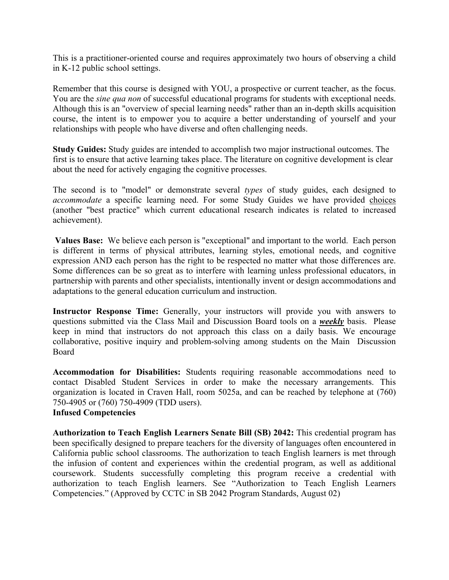This is a practitioner-oriented course and requires approximately two hours of observing a child in K-12 public school settings.

Remember that this course is designed with YOU, a prospective or current teacher, as the focus. You are the *sine qua non* of successful educational programs for students with exceptional needs. Although this is an "overview of special learning needs" rather than an in-depth skills acquisition course, the intent is to empower you to acquire a better understanding of yourself and your relationships with people who have diverse and often challenging needs.

**Study Guides:** Study guides are intended to accomplish two major instructional outcomes. The first is to ensure that active learning takes place. The literature on cognitive development is clear about the need for actively engaging the cognitive processes.

The second is to "model" or demonstrate several *types* of study guides, each designed to *accommodate* a specific learning need. For some Study Guides we have provided choices (another "best practice" which current educational research indicates is related to increased achievement).

**Values Base:** We believe each person is "exceptional" and important to the world. Each person is different in terms of physical attributes, learning styles, emotional needs, and cognitive expression AND each person has the right to be respected no matter what those differences are. Some differences can be so great as to interfere with learning unless professional educators, in partnership with parents and other specialists, intentionally invent or design accommodations and adaptations to the general education curriculum and instruction.

Instructor Response Time: Generally, your instructors will provide you with answers to questions submitted via the Class Mail and Discussion Board tools on a *weekly* basis. Please keep in mind that instructors do not approach this class on a daily basis. We encourage collaborative, positive inquiry and problem-solving among students on the Main Discussion Board

**Accommodation for Disabilities:** Students requiring reasonable accommodations need to contact Disabled Student Services in order to make the necessary arrangements. This organization is located in Craven Hall, room 5025a, and can be reached by telephone at (760) 750-4905 or (760) 750-4909 (TDD users). **Infused Competencies**

## **Authorization to Teach English Learners Senate Bill (SB) 2042:** This credential program has been specifically designed to prepare teachers for the diversity of languages often encountered in California public school classrooms. The authorization to teach English learners is met through the infusion of content and experiences within the credential program, as well as additional coursework. Students successfully completing this program receive a credential with authorization to teach English learners. See "Authorization to Teach English Learners Competencies." (Approved by CCTC in SB 2042 Program Standards, August 02)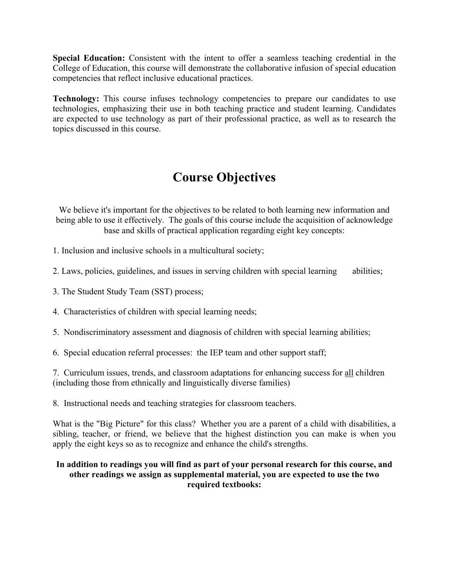**Special Education:** Consistent with the intent to offer a seamless teaching credential in the College of Education, this course will demonstrate the collaborative infusion of special education competencies that reflect inclusive educational practices.

**Technology:** This course infuses technology competencies to prepare our candidates to use technologies, emphasizing their use in both teaching practice and student learning. Candidates are expected to use technology as part of their professional practice, as well as to research the topics discussed in this course.

# **Course Objectives**

We believe it's important for the objectives to be related to both learning new information and being able to use it effectively. The goals of this course include the acquisition of acknowledge base and skills of practical application regarding eight key concepts:

1. Inclusion and inclusive schools in a multicultural society;

2. Laws, policies, guidelines, and issues in serving children with special learning abilities;

3. The Student Study Team (SST) process;

4. Characteristics of children with special learning needs;

5. Nondiscriminatory assessment and diagnosis of children with special learning abilities;

6. Special education referral processes: the IEP team and other support staff;

7. Curriculum issues, trends, and classroom adaptations for enhancing success for all children (including those from ethnically and linguistically diverse families)

8. Instructional needs and teaching strategies for classroom teachers.

What is the "Big Picture" for this class? Whether you are a parent of a child with disabilities, a sibling, teacher, or friend, we believe that the highest distinction you can make is when you apply the eight keys so as to recognize and enhance the child's strengths.

### **In addition to readings you will find as part of your personal research for this course, and other readings we assign as supplemental material, you are expected to use the two required textbooks:**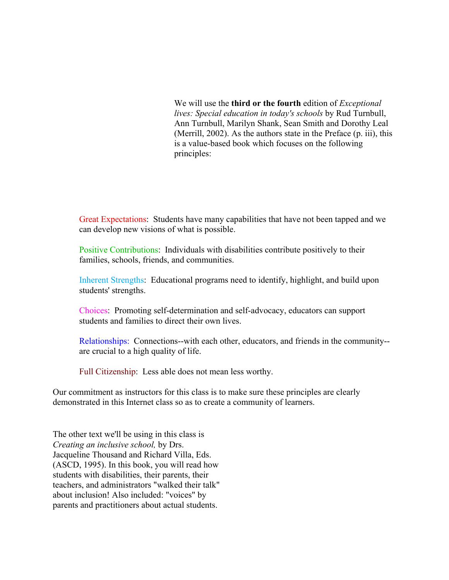We will use the **third or the fourth** edition of *Exceptional lives: Special education in today's schools* by Rud Turnbull, Ann Turnbull, Marilyn Shank, Sean Smith and Dorothy Leal (Merrill, 2002). As the authors state in the Preface (p. iii), this is a value-based book which focuses on the following principles:

Great Expectations: Students have many capabilities that have not been tapped and we can develop new visions of what is possible.

Positive Contributions: Individuals with disabilities contribute positively to their families, schools, friends, and communities.

Inherent Strengths: Educational programs need to identify, highlight, and build upon students' strengths.

Choices: Promoting self-determination and self-advocacy, educators can support students and families to direct their own lives.

Relationships: Connections--with each other, educators, and friends in the community- are crucial to a high quality of life.

Full Citizenship: Less able does not mean less worthy.

Our commitment as instructors for this class is to make sure these principles are clearly demonstrated in this Internet class so as to create a community of learners.

The other text we'll be using in this class is *Creating an inclusive school,* by Drs. Jacqueline Thousand and Richard Villa, Eds. (ASCD, 1995). In this book, you will read how students with disabilities, their parents, their teachers, and administrators "walked their talk" about inclusion! Also included: "voices" by parents and practitioners about actual students.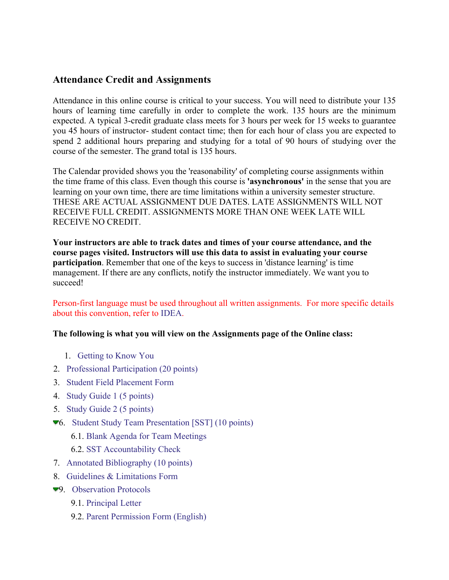# **Attendance Credit and Assignments**

Attendance in this online course is critical to your success. You will need to distribute your 135 hours of learning time carefully in order to complete the work. 135 hours are the minimum expected. A typical 3-credit graduate class meets for 3 hours per week for 15 weeks to guarantee you 45 hours of instructor- student contact time; then for each hour of class you are expected to spend 2 additional hours preparing and studying for a total of 90 hours of studying over the course of the semester. The grand total is 135 hours.

The Calendar provided shows you the 'reasonability' of completing course assignments within the time frame of this class. Even though this course is **'asynchronous'** in the sense that you are learning on your own time, there are time limitations within a university semester structure. THESE ARE ACTUAL ASSIGNMENT DUE DATES. LATE ASSIGNMENTS WILL NOT RECEIVE FULL CREDIT. ASSIGNMENTS MORE THAN ONE WEEK LATE WILL RECEIVE NO CREDIT.

**Your instructors are able to track dates and times of your course attendance, and the course pages visited. Instructors will use this data to assist in evaluating your course participation**. Remember that one of the keys to success in 'distance learning' is time management. If there are any conflicts, notify the instructor immediately. We want you to succeed!

Person-first language must be used throughout all written assignments. For more specific details about this convention, refer to IDEA.

## **The following is what you will view on the Assignments page of the Online class:**

- 1. Getting to Know You
- 2. Professional Participation (20 points)
- 3. Student Field Placement Form
- 4. Study Guide 1 (5 points)
- 5. Study Guide 2 (5 points)
- 6. Student Study Team Presentation [SST] (10 points)
	- 6.1. Blank Agenda for Team Meetings
	- 6.2. SST Accountability Check
- 7. Annotated Bibliography (10 points)
- 8. Guidelines & Limitations Form
- 9. Observation Protocols
	- 9.1. Principal Letter
	- 9.2. Parent Permission Form (English)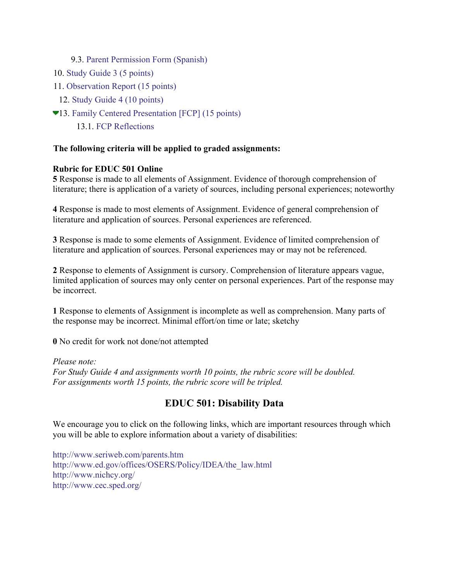## 9.3. Parent Permission Form (Spanish)

- 10. Study Guide 3 (5 points)
- 11. Observation Report (15 points)
	- 12. Study Guide 4 (10 points)
- 13. Family Centered Presentation [FCP] (15 points)
	- 13.1. FCP Reflections

### **The following criteria will be applied to graded assignments:**

#### **Rubric for EDUC 501 Online**

**5** Response is made to all elements of Assignment. Evidence of thorough comprehension of literature; there is application of a variety of sources, including personal experiences; noteworthy

**4** Response is made to most elements of Assignment. Evidence of general comprehension of literature and application of sources. Personal experiences are referenced.

**3** Response is made to some elements of Assignment. Evidence of limited comprehension of literature and application of sources. Personal experiences may or may not be referenced.

**2** Response to elements of Assignment is cursory. Comprehension of literature appears vague, limited application of sources may only center on personal experiences. Part of the response may be incorrect.

**1** Response to elements of Assignment is incomplete as well as comprehension. Many parts of the response may be incorrect. Minimal effort/on time or late; sketchy

**0** No credit for work not done/not attempted

#### *Please note:*

*For Study Guide 4 and assignments worth 10 points, the rubric score will be doubled. For assignments worth 15 points, the rubric score will be tripled.* 

# **EDUC 501: Disability Data**

We encourage you to click on the following links, which are important resources through which you will be able to explore information about a variety of disabilities:

http://www.seriweb.com/parents.htm http://www.ed.gov/offices/OSERS/Policy/IDEA/the\_law.html http://www.nichcy.org/ http://www.cec.sped.org/